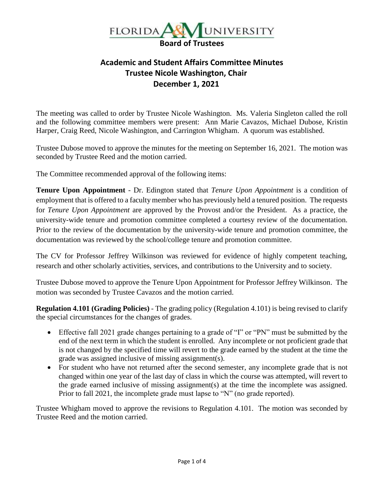

## **Academic and Student Affairs Committee Minutes Trustee Nicole Washington, Chair December 1, 2021**

The meeting was called to order by Trustee Nicole Washington. Ms. Valeria Singleton called the roll and the following committee members were present: Ann Marie Cavazos, Michael Dubose, Kristin Harper, Craig Reed, Nicole Washington, and Carrington Whigham. A quorum was established.

Trustee Dubose moved to approve the minutes for the meeting on September 16, 2021. The motion was seconded by Trustee Reed and the motion carried.

The Committee recommended approval of the following items:

**Tenure Upon Appointment** - Dr. Edington stated that *Tenure Upon Appointment* is a condition of employment that is offered to a faculty member who has previously held a tenured position. The requests for *Tenure Upon Appointment* are approved by the Provost and/or the President. As a practice, the university-wide tenure and promotion committee completed a courtesy review of the documentation. Prior to the review of the documentation by the university-wide tenure and promotion committee, the documentation was reviewed by the school/college tenure and promotion committee.

The CV for Professor Jeffrey Wilkinson was reviewed for evidence of highly competent teaching, research and other scholarly activities, services, and contributions to the University and to society.

Trustee Dubose moved to approve the Tenure Upon Appointment for Professor Jeffrey Wilkinson. The motion was seconded by Trustee Cavazos and the motion carried.

**Regulation 4.101 (Grading Policies)** - The grading policy (Regulation 4.101) is being revised to clarify the special circumstances for the changes of grades.

- Effective fall 2021 grade changes pertaining to a grade of "I" or "PN" must be submitted by the end of the next term in which the student is enrolled. Any incomplete or not proficient grade that is not changed by the specified time will revert to the grade earned by the student at the time the grade was assigned inclusive of missing assignment(s).
- For student who have not returned after the second semester, any incomplete grade that is not changed within one year of the last day of class in which the course was attempted, will revert to the grade earned inclusive of missing assignment(s) at the time the incomplete was assigned. Prior to fall 2021, the incomplete grade must lapse to "N" (no grade reported).

Trustee Whigham moved to approve the revisions to Regulation 4.101. The motion was seconded by Trustee Reed and the motion carried.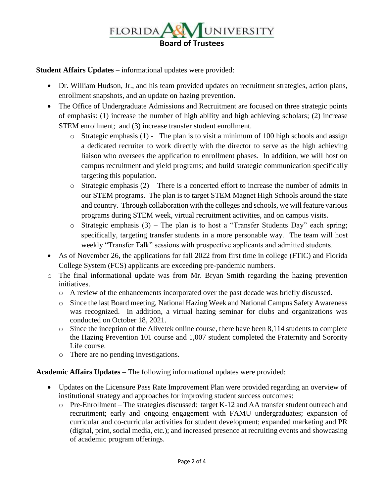

**Student Affairs Updates** – informational updates were provided:

- Dr. William Hudson, Jr., and his team provided updates on recruitment strategies, action plans, enrollment snapshots, and an update on hazing prevention.
- The Office of Undergraduate Admissions and Recruitment are focused on three strategic points of emphasis: (1) increase the number of high ability and high achieving scholars; (2) increase STEM enrollment; and (3) increase transfer student enrollment.
	- o Strategic emphasis (1) The plan is to visit a minimum of 100 high schools and assign a dedicated recruiter to work directly with the director to serve as the high achieving liaison who oversees the application to enrollment phases. In addition, we will host on campus recruitment and yield programs; and build strategic communication specifically targeting this population.
	- $\circ$  Strategic emphasis (2) There is a concerted effort to increase the number of admits in our STEM programs. The plan is to target STEM Magnet High Schools around the state and country. Through collaboration with the colleges and schools, we will feature various programs during STEM week, virtual recruitment activities, and on campus visits.
	- o Strategic emphasis (3) The plan is to host a "Transfer Students Day" each spring; specifically, targeting transfer students in a more personable way. The team will host weekly "Transfer Talk" sessions with prospective applicants and admitted students.
- As of November 26, the applications for fall 2022 from first time in college (FTIC) and Florida College System (FCS) applicants are exceeding pre-pandemic numbers.
- o The final informational update was from Mr. Bryan Smith regarding the hazing prevention initiatives.
	- o A review of the enhancements incorporated over the past decade was briefly discussed.
	- o Since the last Board meeting, National Hazing Week and National Campus Safety Awareness was recognized. In addition, a virtual hazing seminar for clubs and organizations was conducted on October 18, 2021.
	- o Since the inception of the Alivetek online course, there have been 8,114 students to complete the Hazing Prevention 101 course and 1,007 student completed the Fraternity and Sorority Life course.
	- o There are no pending investigations.

**Academic Affairs Updates** – The following informational updates were provided:

- Updates on the Licensure Pass Rate Improvement Plan were provided regarding an overview of institutional strategy and approaches for improving student success outcomes:
	- o Pre-Enrollment The strategies discussed: target K-12 and AA transfer student outreach and recruitment; early and ongoing engagement with FAMU undergraduates; expansion of curricular and co-curricular activities for student development; expanded marketing and PR (digital, print, social media, etc.); and increased presence at recruiting events and showcasing of academic program offerings.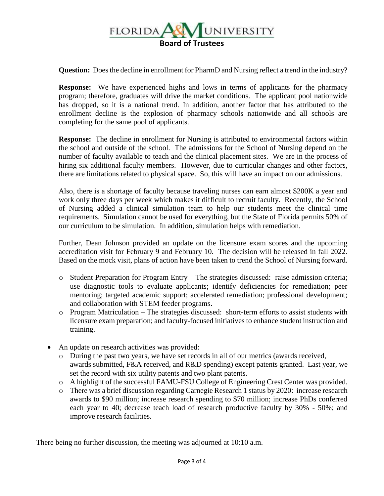

**Question:** Does the decline in enrollment for PharmD and Nursing reflect a trend in the industry?

**Response:** We have experienced highs and lows in terms of applicants for the pharmacy program; therefore, graduates will drive the market conditions. The applicant pool nationwide has dropped, so it is a national trend. In addition, another factor that has attributed to the enrollment decline is the explosion of pharmacy schools nationwide and all schools are completing for the same pool of applicants.

**Response:** The decline in enrollment for Nursing is attributed to environmental factors within the school and outside of the school. The admissions for the School of Nursing depend on the number of faculty available to teach and the clinical placement sites. We are in the process of hiring six additional faculty members. However, due to curricular changes and other factors, there are limitations related to physical space. So, this will have an impact on our admissions.

Also, there is a shortage of faculty because traveling nurses can earn almost \$200K a year and work only three days per week which makes it difficult to recruit faculty. Recently, the School of Nursing added a clinical simulation team to help our students meet the clinical time requirements. Simulation cannot be used for everything, but the State of Florida permits 50% of our curriculum to be simulation. In addition, simulation helps with remediation.

Further, Dean Johnson provided an update on the licensure exam scores and the upcoming accreditation visit for February 9 and February 10. The decision will be released in fall 2022. Based on the mock visit, plans of action have been taken to trend the School of Nursing forward.

- $\circ$  Student Preparation for Program Entry The strategies discussed: raise admission criteria; use diagnostic tools to evaluate applicants; identify deficiencies for remediation; peer mentoring; targeted academic support; accelerated remediation; professional development; and collaboration with STEM feeder programs.
- $\circ$  Program Matriculation The strategies discussed: short-term efforts to assist students with licensure exam preparation; and faculty-focused initiatives to enhance student instruction and training.
- An update on research activities was provided:
	- o During the past two years, we have set records in all of our metrics (awards received, awards submitted, F&A received, and R&D spending) except patents granted. Last year, we set the record with six utility patents and two plant patents.
	- o A highlight of the successful FAMU-FSU College of Engineering Crest Center was provided.
	- o There was a brief discussion regarding Carnegie Research 1 status by 2020: increase research awards to \$90 million; increase research spending to \$70 million; increase PhDs conferred each year to 40; decrease teach load of research productive faculty by 30% - 50%; and improve research facilities.

There being no further discussion, the meeting was adjourned at 10:10 a.m.